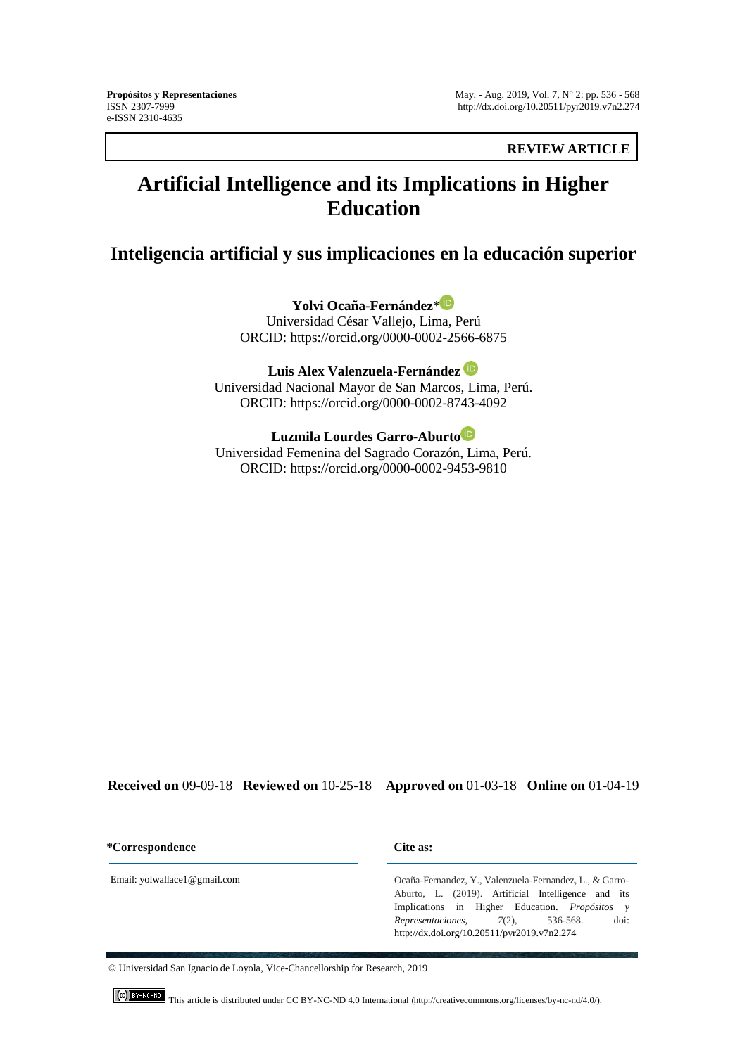**REVIEW ARTICLE**

# **Artificial Intelligence and its Implications in Higher Education**

**Inteligencia artificial y sus implicaciones en la educación superior**

**Yolvi Ocaña-Fernández**[\\*](https://orcid.org/0000-0002-2566-6875) Universidad César Vallejo, Lima, Perú ORCID:<https://orcid.org/0000-0002-2566-6875>

**Luis Alex Valenzuela-Fernández**  Universidad Nacional Mayor de San Marcos, Lima, Perú. ORCID:<https://orcid.org/0000-0002-8743-4092>

**Luzmila Lourdes Garro-Aburt[o](https://orcid.org/0000-0002-9453-9810)** Universidad Femenina del Sagrado Corazón, Lima, Perú. ORCID:<https://orcid.org/0000-0002-9453-9810>

**Received on** 09-09-18 **Reviewed on** 10-25-18 **Approved on** 01-03-18 **Online on** 01-04-19

**\*Correspondence Cite as:**

Ocaña-Fernandez, Y., Valenzuela-Fernandez, L., & Garro-Aburto, L. (2019). Artificial Intelligence and its Implications in Higher Education. *Propósitos y Representaciones, 7*(2), 536-568. doi: <http://dx.doi.org/10.20511/pyr2019.v7n2.274>

Email: yolwallace1@gmail.com

© Universidad San Ignacio de Loyola, Vice-Chancellorship for Research, 2019

This article is distributed under CC BY-NC-ND 4.0 International [\(http://creativecommons.org/licenses/by-nc-nd/4.0/\).](http://creativecommons.org/licenses/by-nc-nd/4.0/).)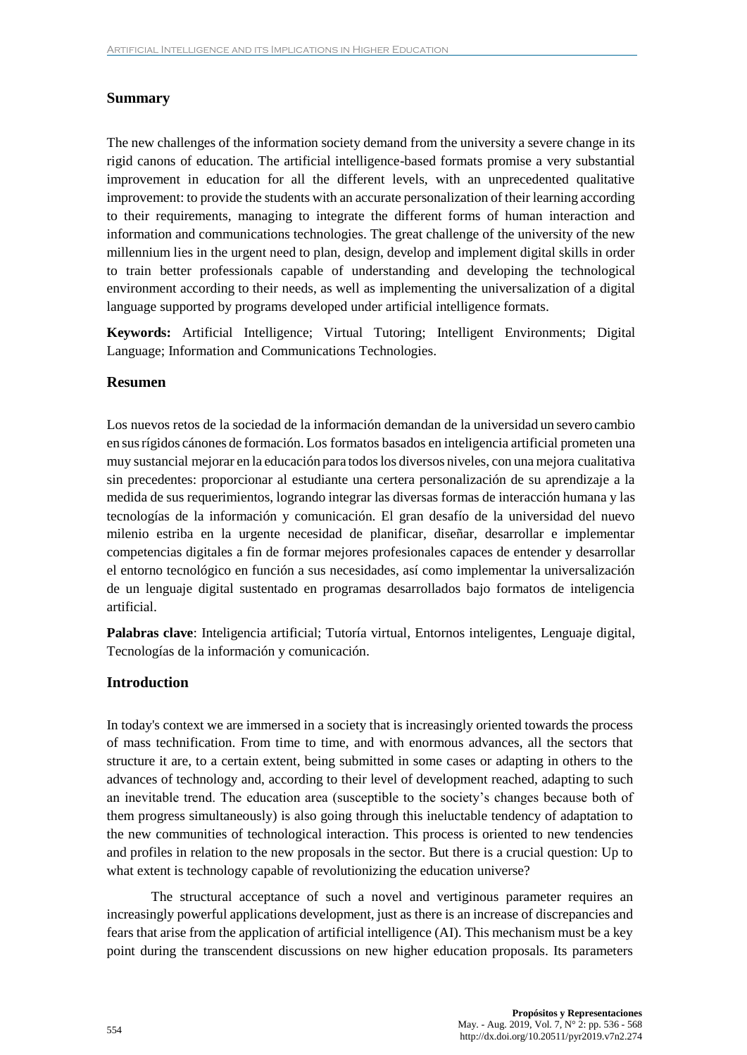# **Summary**

The new challenges of the information society demand from the university a severe change in its rigid canons of education. The artificial intelligence-based formats promise a very substantial improvement in education for all the different levels, with an unprecedented qualitative improvement: to provide the students with an accurate personalization of their learning according to their requirements, managing to integrate the different forms of human interaction and information and communications technologies. The great challenge of the university of the new millennium lies in the urgent need to plan, design, develop and implement digital skills in order to train better professionals capable of understanding and developing the technological environment according to their needs, as well as implementing the universalization of a digital language supported by programs developed under artificial intelligence formats.

**Keywords:** Artificial Intelligence; Virtual Tutoring; Intelligent Environments; Digital Language; Information and Communications Technologies.

## **Resumen**

Los nuevos retos de la sociedad de la información demandan de la universidad un severo cambio en susrígidos cánones de formación. Los formatos basados en inteligencia artificial prometen una muy sustancial mejorar en la educación para todoslos diversos niveles, con una mejora cualitativa sin precedentes: proporcionar al estudiante una certera personalización de su aprendizaje a la medida de sus requerimientos, logrando integrar las diversas formas de interacción humana y las tecnologías de la información y comunicación. El gran desafío de la universidad del nuevo milenio estriba en la urgente necesidad de planificar, diseñar, desarrollar e implementar competencias digitales a fin de formar mejores profesionales capaces de entender y desarrollar el entorno tecnológico en función a sus necesidades, así como implementar la universalización de un lenguaje digital sustentado en programas desarrollados bajo formatos de inteligencia artificial.

**Palabras clave**: Inteligencia artificial; Tutoría virtual, Entornos inteligentes, Lenguaje digital, Tecnologías de la información y comunicación.

# **Introduction**

In today's context we are immersed in a society that is increasingly oriented towards the process of mass technification. From time to time, and with enormous advances, all the sectors that structure it are, to a certain extent, being submitted in some cases or adapting in others to the advances of technology and, according to their level of development reached, adapting to such an inevitable trend. The education area (susceptible to the society's changes because both of them progress simultaneously) is also going through this ineluctable tendency of adaptation to the new communities of technological interaction. This process is oriented to new tendencies and profiles in relation to the new proposals in the sector. But there is a crucial question: Up to what extent is technology capable of revolutionizing the education universe?

The structural acceptance of such a novel and vertiginous parameter requires an increasingly powerful applications development, just as there is an increase of discrepancies and fears that arise from the application of artificial intelligence (AI). This mechanism must be a key point during the transcendent discussions on new higher education proposals. Its parameters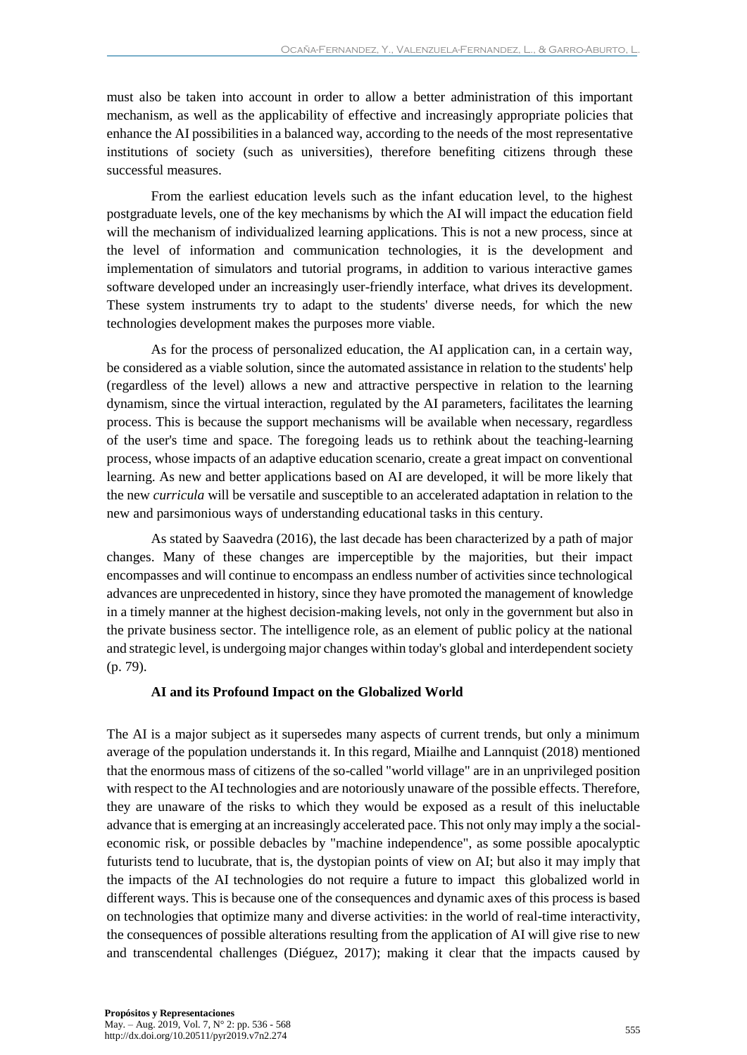must also be taken into account in order to allow a better administration of this important mechanism, as well as the applicability of effective and increasingly appropriate policies that enhance the AI possibilities in a balanced way, according to the needs of the most representative institutions of society (such as universities), therefore benefiting citizens through these successful measures.

From the earliest education levels such as the infant education level, to the highest postgraduate levels, one of the key mechanisms by which the AI will impact the education field will the mechanism of individualized learning applications. This is not a new process, since at the level of information and communication technologies, it is the development and implementation of simulators and tutorial programs, in addition to various interactive games software developed under an increasingly user-friendly interface, what drives its development. These system instruments try to adapt to the students' diverse needs, for which the new technologies development makes the purposes more viable.

As for the process of personalized education, the AI application can, in a certain way, be considered as a viable solution, since the automated assistance in relation to the students' help (regardless of the level) allows a new and attractive perspective in relation to the learning dynamism, since the virtual interaction, regulated by the AI parameters, facilitates the learning process. This is because the support mechanisms will be available when necessary, regardless of the user's time and space. The foregoing leads us to rethink about the teaching-learning process, whose impacts of an adaptive education scenario, create a great impact on conventional learning. As new and better applications based on AI are developed, it will be more likely that the new *curricula* will be versatile and susceptible to an accelerated adaptation in relation to the new and parsimonious ways of understanding educational tasks in this century.

As stated by Saavedra (2016), the last decade has been characterized by a path of major changes. Many of these changes are imperceptible by the majorities, but their impact encompasses and will continue to encompass an endless number of activities since technological advances are unprecedented in history, since they have promoted the management of knowledge in a timely manner at the highest decision-making levels, not only in the government but also in the private business sector. The intelligence role, as an element of public policy at the national and strategic level, is undergoing major changes within today's global and interdependent society (p. 79).

#### **AI and its Profound Impact on the Globalized World**

The AI is a major subject as it supersedes many aspects of current trends, but only a minimum average of the population understands it. In this regard, Miailhe and Lannquist (2018) mentioned that the enormous mass of citizens of the so-called "world village" are in an unprivileged position with respect to the AI technologies and are notoriously unaware of the possible effects. Therefore, they are unaware of the risks to which they would be exposed as a result of this ineluctable advance that is emerging at an increasingly accelerated pace. This not only may imply a the socialeconomic risk, or possible debacles by "machine independence", as some possible apocalyptic futurists tend to lucubrate, that is, the dystopian points of view on AI; but also it may imply that the impacts of the AI technologies do not require a future to impact this globalized world in different ways. This is because one of the consequences and dynamic axes of this process is based on technologies that optimize many and diverse activities: in the world of real-time interactivity, the consequences of possible alterations resulting from the application of AI will give rise to new and transcendental challenges (Diéguez, 2017); making it clear that the impacts caused by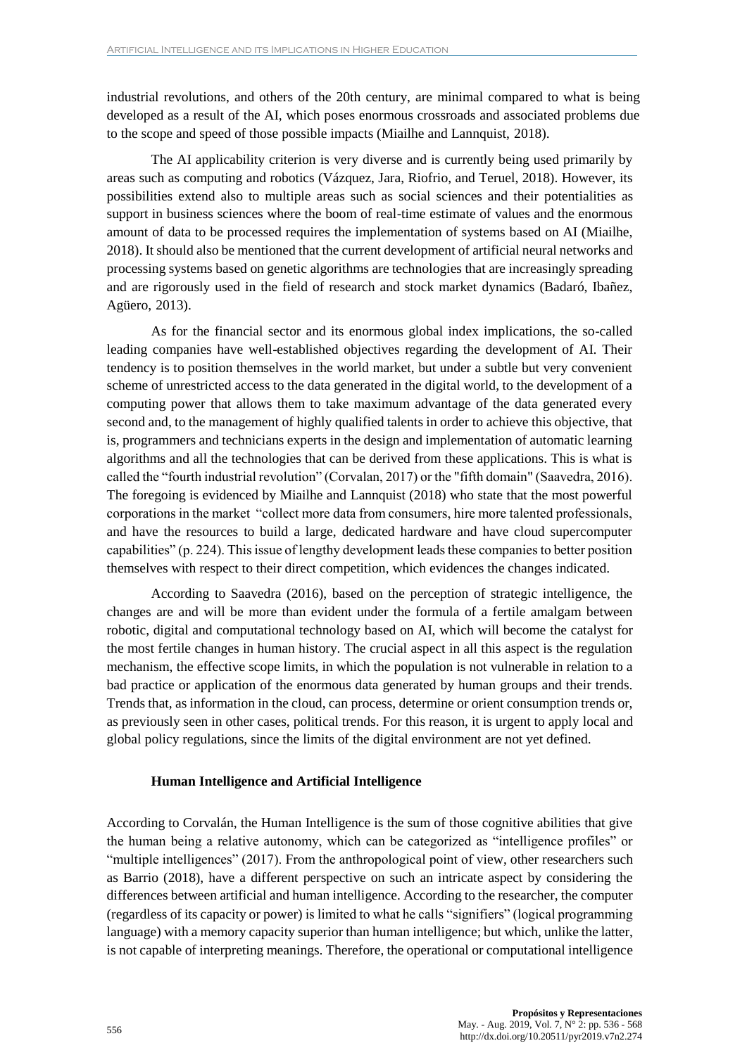industrial revolutions, and others of the 20th century, are minimal compared to what is being developed as a result of the AI, which poses enormous crossroads and associated problems due to the scope and speed of those possible impacts (Miailhe and Lannquist, 2018).

The AI applicability criterion is very diverse and is currently being used primarily by areas such as computing and robotics (Vázquez, Jara, Riofrio, and Teruel, 2018). However, its possibilities extend also to multiple areas such as social sciences and their potentialities as support in business sciences where the boom of real-time estimate of values and the enormous amount of data to be processed requires the implementation of systems based on AI (Miailhe, 2018). It should also be mentioned that the current development of artificial neural networks and processing systems based on genetic algorithms are technologies that are increasingly spreading and are rigorously used in the field of research and stock market dynamics (Badaró, Ibañez, Agüero, 2013).

As for the financial sector and its enormous global index implications, the so-called leading companies have well-established objectives regarding the development of AI. Their tendency is to position themselves in the world market, but under a subtle but very convenient scheme of unrestricted access to the data generated in the digital world, to the development of a computing power that allows them to take maximum advantage of the data generated every second and, to the management of highly qualified talents in order to achieve this objective, that is, programmers and technicians experts in the design and implementation of automatic learning algorithms and all the technologies that can be derived from these applications. This is what is called the "fourth industrial revolution" (Corvalan, 2017) or the "fifth domain" (Saavedra, 2016). The foregoing is evidenced by Miailhe and Lannquist (2018) who state that the most powerful corporations in the market "collect more data from consumers, hire more talented professionals, and have the resources to build a large, dedicated hardware and have cloud supercomputer capabilities" (p. 224). This issue of lengthy development leads these companies to better position themselves with respect to their direct competition, which evidences the changes indicated.

According to Saavedra (2016), based on the perception of strategic intelligence, the changes are and will be more than evident under the formula of a fertile amalgam between robotic, digital and computational technology based on AI, which will become the catalyst for the most fertile changes in human history. The crucial aspect in all this aspect is the regulation mechanism, the effective scope limits, in which the population is not vulnerable in relation to a bad practice or application of the enormous data generated by human groups and their trends. Trends that, as information in the cloud, can process, determine or orient consumption trends or, as previously seen in other cases, political trends. For this reason, it is urgent to apply local and global policy regulations, since the limits of the digital environment are not yet defined.

## **Human Intelligence and Artificial Intelligence**

According to Corvalán, the Human Intelligence is the sum of those cognitive abilities that give the human being a relative autonomy, which can be categorized as "intelligence profiles" or "multiple intelligences" (2017). From the anthropological point of view, other researchers such as Barrio (2018), have a different perspective on such an intricate aspect by considering the differences between artificial and human intelligence. According to the researcher, the computer (regardless of its capacity or power) is limited to what he calls "signifiers" (logical programming language) with a memory capacity superior than human intelligence; but which, unlike the latter, is not capable of interpreting meanings. Therefore, the operational or computational intelligence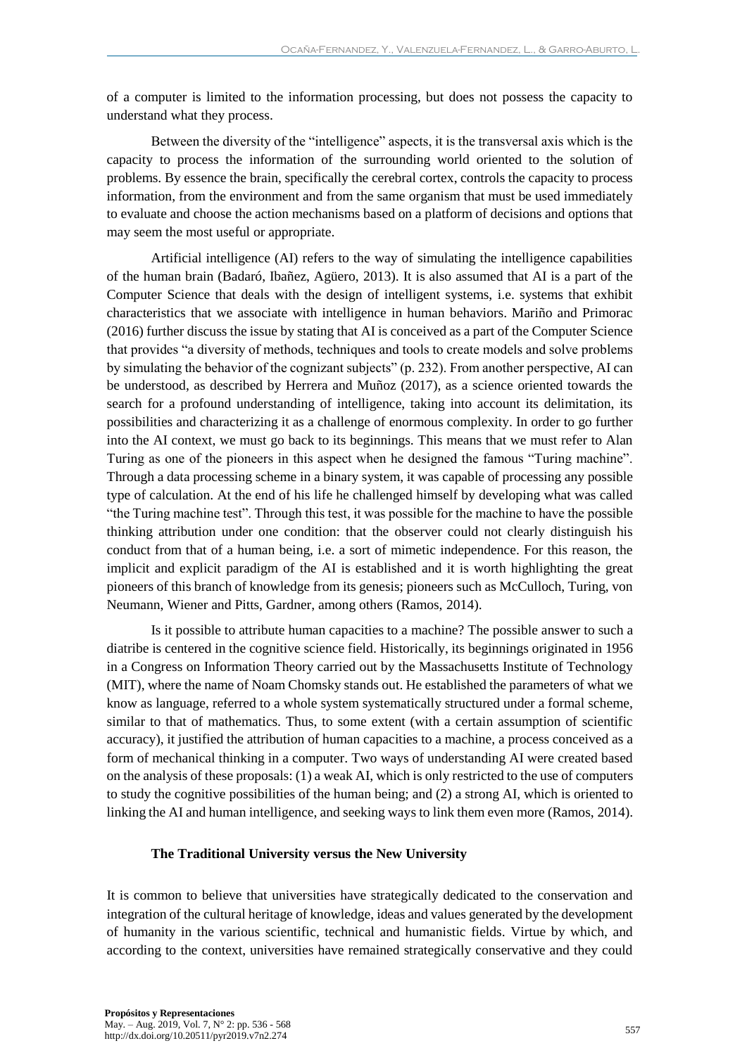of a computer is limited to the information processing, but does not possess the capacity to understand what they process.

Between the diversity of the "intelligence" aspects, it is the transversal axis which is the capacity to process the information of the surrounding world oriented to the solution of problems. By essence the brain, specifically the cerebral cortex, controls the capacity to process information, from the environment and from the same organism that must be used immediately to evaluate and choose the action mechanisms based on a platform of decisions and options that may seem the most useful or appropriate.

Artificial intelligence (AI) refers to the way of simulating the intelligence capabilities of the human brain (Badaró, Ibañez, Agüero, 2013). It is also assumed that AI is a part of the Computer Science that deals with the design of intelligent systems, i.e. systems that exhibit characteristics that we associate with intelligence in human behaviors. Mariño and Primorac (2016) further discuss the issue by stating that AI is conceived as a part of the Computer Science that provides "a diversity of methods, techniques and tools to create models and solve problems by simulating the behavior of the cognizant subjects" (p. 232). From another perspective, AI can be understood, as described by Herrera and Muñoz (2017), as a science oriented towards the search for a profound understanding of intelligence, taking into account its delimitation, its possibilities and characterizing it as a challenge of enormous complexity. In order to go further into the AI context, we must go back to its beginnings. This means that we must refer to Alan Turing as one of the pioneers in this aspect when he designed the famous "Turing machine". Through a data processing scheme in a binary system, it was capable of processing any possible type of calculation. At the end of his life he challenged himself by developing what was called "the Turing machine test". Through this test, it was possible for the machine to have the possible thinking attribution under one condition: that the observer could not clearly distinguish his conduct from that of a human being, i.e. a sort of mimetic independence. For this reason, the implicit and explicit paradigm of the AI is established and it is worth highlighting the great pioneers of this branch of knowledge from its genesis; pioneers such as McCulloch, Turing, von Neumann, Wiener and Pitts, Gardner, among others (Ramos, 2014).

Is it possible to attribute human capacities to a machine? The possible answer to such a diatribe is centered in the cognitive science field. Historically, its beginnings originated in 1956 in a Congress on Information Theory carried out by the Massachusetts Institute of Technology (MIT), where the name of Noam Chomsky stands out. He established the parameters of what we know as language, referred to a whole system systematically structured under a formal scheme, similar to that of mathematics. Thus, to some extent (with a certain assumption of scientific accuracy), it justified the attribution of human capacities to a machine, a process conceived as a form of mechanical thinking in a computer. Two ways of understanding AI were created based on the analysis of these proposals: (1) a weak AI, which is only restricted to the use of computers to study the cognitive possibilities of the human being; and (2) a strong AI, which is oriented to linking the AI and human intelligence, and seeking ways to link them even more (Ramos, 2014).

#### **The Traditional University versus the New University**

It is common to believe that universities have strategically dedicated to the conservation and integration of the cultural heritage of knowledge, ideas and values generated by the development of humanity in the various scientific, technical and humanistic fields. Virtue by which, and according to the context, universities have remained strategically conservative and they could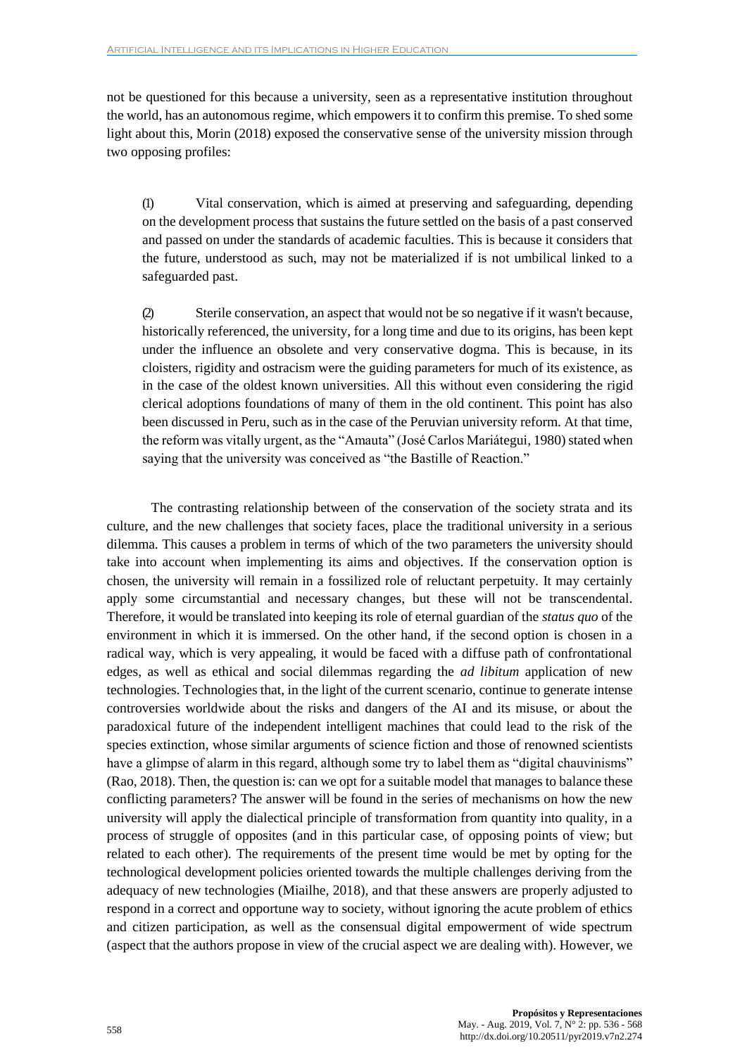not be questioned for this because a university, seen as a representative institution throughout the world, has an autonomous regime, which empowers it to confirm this premise. To shed some light about this, Morin (2018) exposed the conservative sense of the university mission through two opposing profiles:

(1) Vital conservation, which is aimed at preserving and safeguarding, depending on the development process that sustains the future settled on the basis of a past conserved and passed on under the standards of academic faculties. This is because it considers that the future, understood as such, may not be materialized if is not umbilical linked to a safeguarded past.

(2) Sterile conservation, an aspect that would not be so negative if it wasn't because, historically referenced, the university, for a long time and due to its origins, has been kept under the influence an obsolete and very conservative dogma. This is because, in its cloisters, rigidity and ostracism were the guiding parameters for much of its existence, as in the case of the oldest known universities. All this without even considering the rigid clerical adoptions foundations of many of them in the old continent. This point has also been discussed in Peru, such as in the case of the Peruvian university reform. At that time, the reform was vitally urgent, as the "Amauta" (José Carlos Mariátegui, 1980) stated when saying that the university was conceived as "the Bastille of Reaction."

The contrasting relationship between of the conservation of the society strata and its culture, and the new challenges that society faces, place the traditional university in a serious dilemma. This causes a problem in terms of which of the two parameters the university should take into account when implementing its aims and objectives. If the conservation option is chosen, the university will remain in a fossilized role of reluctant perpetuity. It may certainly apply some circumstantial and necessary changes, but these will not be transcendental. Therefore, it would be translated into keeping its role of eternal guardian of the *status quo* of the environment in which it is immersed. On the other hand, if the second option is chosen in a radical way, which is very appealing, it would be faced with a diffuse path of confrontational edges, as well as ethical and social dilemmas regarding the *ad libitum* application of new technologies. Technologies that, in the light of the current scenario, continue to generate intense controversies worldwide about the risks and dangers of the AI and its misuse, or about the paradoxical future of the independent intelligent machines that could lead to the risk of the species extinction, whose similar arguments of science fiction and those of renowned scientists have a glimpse of alarm in this regard, although some try to label them as "digital chauvinisms" (Rao, 2018). Then, the question is: can we opt for a suitable model that manages to balance these conflicting parameters? The answer will be found in the series of mechanisms on how the new university will apply the dialectical principle of transformation from quantity into quality, in a process of struggle of opposites (and in this particular case, of opposing points of view; but related to each other). The requirements of the present time would be met by opting for the technological development policies oriented towards the multiple challenges deriving from the adequacy of new technologies (Miailhe, 2018), and that these answers are properly adjusted to respond in a correct and opportune way to society, without ignoring the acute problem of ethics and citizen participation, as well as the consensual digital empowerment of wide spectrum (aspect that the authors propose in view of the crucial aspect we are dealing with). However, we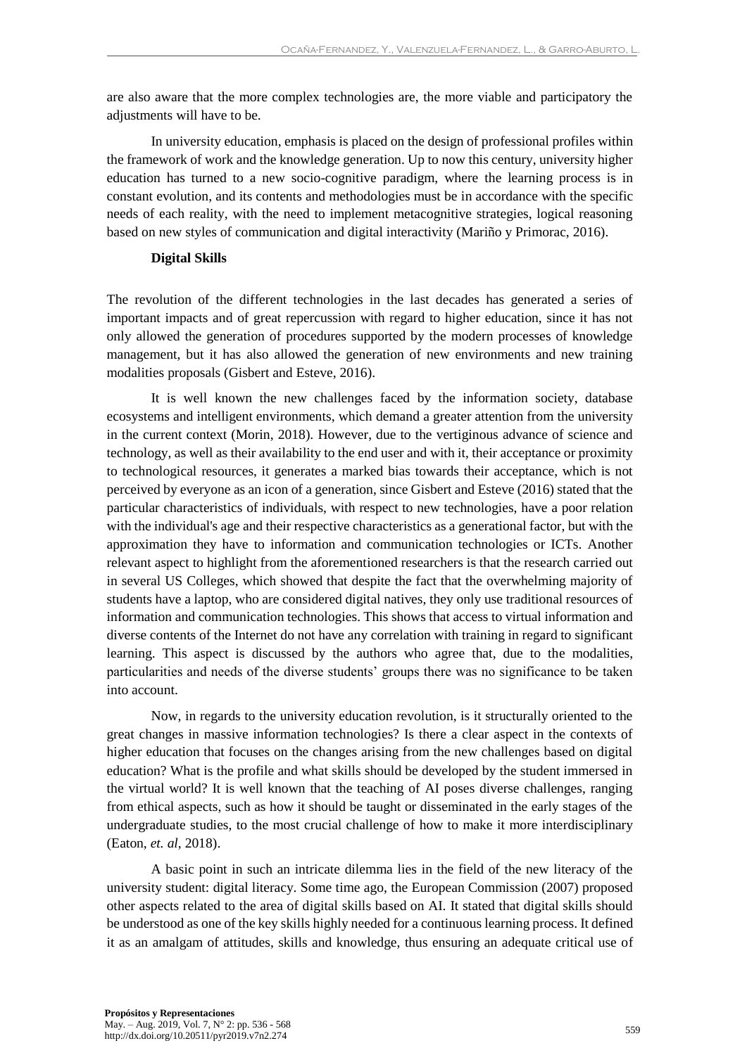are also aware that the more complex technologies are, the more viable and participatory the adjustments will have to be.

In university education, emphasis is placed on the design of professional profiles within the framework of work and the knowledge generation. Up to now this century, university higher education has turned to a new socio-cognitive paradigm, where the learning process is in constant evolution, and its contents and methodologies must be in accordance with the specific needs of each reality, with the need to implement metacognitive strategies, logical reasoning based on new styles of communication and digital interactivity (Mariño y Primorac, 2016).

#### **Digital Skills**

The revolution of the different technologies in the last decades has generated a series of important impacts and of great repercussion with regard to higher education, since it has not only allowed the generation of procedures supported by the modern processes of knowledge management, but it has also allowed the generation of new environments and new training modalities proposals (Gisbert and Esteve, 2016).

It is well known the new challenges faced by the information society, database ecosystems and intelligent environments, which demand a greater attention from the university in the current context (Morin, 2018). However, due to the vertiginous advance of science and technology, as well as their availability to the end user and with it, their acceptance or proximity to technological resources, it generates a marked bias towards their acceptance, which is not perceived by everyone as an icon of a generation, since Gisbert and Esteve (2016) stated that the particular characteristics of individuals, with respect to new technologies, have a poor relation with the individual's age and their respective characteristics as a generational factor, but with the approximation they have to information and communication technologies or ICTs. Another relevant aspect to highlight from the aforementioned researchers is that the research carried out in several US Colleges, which showed that despite the fact that the overwhelming majority of students have a laptop, who are considered digital natives, they only use traditional resources of information and communication technologies. This shows that access to virtual information and diverse contents of the Internet do not have any correlation with training in regard to significant learning. This aspect is discussed by the authors who agree that, due to the modalities, particularities and needs of the diverse students' groups there was no significance to be taken into account.

Now, in regards to the university education revolution, is it structurally oriented to the great changes in massive information technologies? Is there a clear aspect in the contexts of higher education that focuses on the changes arising from the new challenges based on digital education? What is the profile and what skills should be developed by the student immersed in the virtual world? It is well known that the teaching of AI poses diverse challenges, ranging from ethical aspects, such as how it should be taught or disseminated in the early stages of the undergraduate studies, to the most crucial challenge of how to make it more interdisciplinary (Eaton, *et. al*, 2018).

A basic point in such an intricate dilemma lies in the field of the new literacy of the university student: digital literacy. Some time ago, the European Commission (2007) proposed other aspects related to the area of digital skills based on AI. It stated that digital skills should be understood as one of the key skills highly needed for a continuous learning process. It defined it as an amalgam of attitudes, skills and knowledge, thus ensuring an adequate critical use of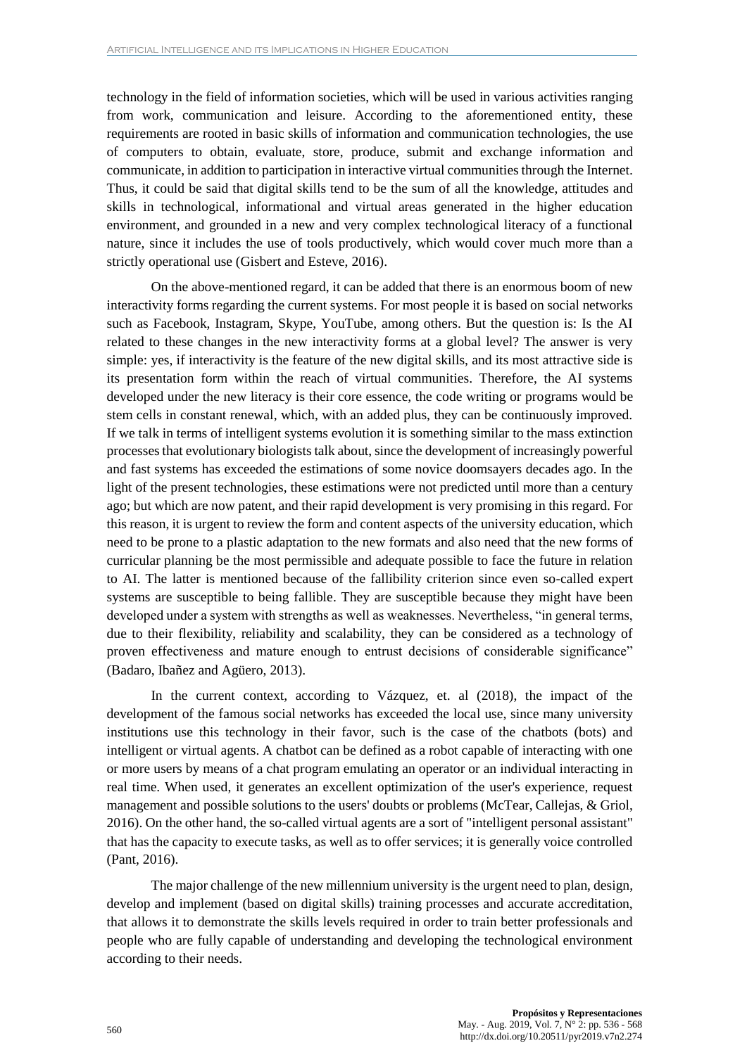technology in the field of information societies, which will be used in various activities ranging from work, communication and leisure. According to the aforementioned entity, these requirements are rooted in basic skills of information and communication technologies, the use of computers to obtain, evaluate, store, produce, submit and exchange information and communicate, in addition to participation in interactive virtual communities through the Internet. Thus, it could be said that digital skills tend to be the sum of all the knowledge, attitudes and skills in technological, informational and virtual areas generated in the higher education environment, and grounded in a new and very complex technological literacy of a functional nature, since it includes the use of tools productively, which would cover much more than a strictly operational use (Gisbert and Esteve, 2016).

On the above-mentioned regard, it can be added that there is an enormous boom of new interactivity forms regarding the current systems. For most people it is based on social networks such as Facebook, Instagram, Skype, YouTube, among others. But the question is: Is the AI related to these changes in the new interactivity forms at a global level? The answer is very simple: yes, if interactivity is the feature of the new digital skills, and its most attractive side is its presentation form within the reach of virtual communities. Therefore, the AI systems developed under the new literacy is their core essence, the code writing or programs would be stem cells in constant renewal, which, with an added plus, they can be continuously improved. If we talk in terms of intelligent systems evolution it is something similar to the mass extinction processes that evolutionary biologists talk about, since the development of increasingly powerful and fast systems has exceeded the estimations of some novice doomsayers decades ago. In the light of the present technologies, these estimations were not predicted until more than a century ago; but which are now patent, and their rapid development is very promising in this regard. For this reason, it is urgent to review the form and content aspects of the university education, which need to be prone to a plastic adaptation to the new formats and also need that the new forms of curricular planning be the most permissible and adequate possible to face the future in relation to AI. The latter is mentioned because of the fallibility criterion since even so-called expert systems are susceptible to being fallible. They are susceptible because they might have been developed under a system with strengths as well as weaknesses. Nevertheless, "in general terms, due to their flexibility, reliability and scalability, they can be considered as a technology of proven effectiveness and mature enough to entrust decisions of considerable significance" (Badaro, Ibañez and Agüero, 2013).

In the current context, according to Vázquez, et. al (2018), the impact of the development of the famous social networks has exceeded the local use, since many university institutions use this technology in their favor, such is the case of the chatbots (bots) and intelligent or virtual agents. A chatbot can be defined as a robot capable of interacting with one or more users by means of a chat program emulating an operator or an individual interacting in real time. When used, it generates an excellent optimization of the user's experience, request management and possible solutions to the users' doubts or problems (McTear, Callejas, & Griol, 2016). On the other hand, the so-called virtual agents are a sort of "intelligent personal assistant" that has the capacity to execute tasks, as well as to offer services; it is generally voice controlled (Pant, 2016).

The major challenge of the new millennium university is the urgent need to plan, design, develop and implement (based on digital skills) training processes and accurate accreditation, that allows it to demonstrate the skills levels required in order to train better professionals and people who are fully capable of understanding and developing the technological environment according to their needs.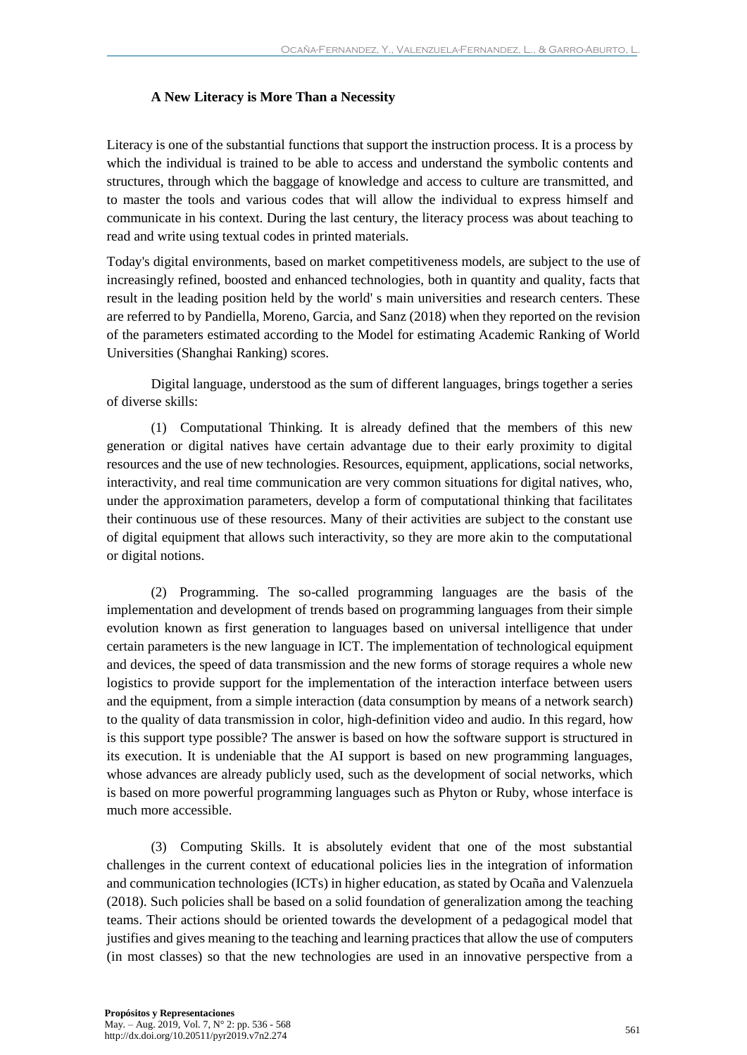# **A New Literacy is More Than a Necessity**

Literacy is one of the substantial functions that support the instruction process. It is a process by which the individual is trained to be able to access and understand the symbolic contents and structures, through which the baggage of knowledge and access to culture are transmitted, and to master the tools and various codes that will allow the individual to express himself and communicate in his context. During the last century, the literacy process was about teaching to read and write using textual codes in printed materials.

Today's digital environments, based on market competitiveness models, are subject to the use of increasingly refined, boosted and enhanced technologies, both in quantity and quality, facts that result in the leading position held by the world' s main universities and research centers. These are referred to by Pandiella, Moreno, Garcia, and Sanz (2018) when they reported on the revision of the parameters estimated according to the Model for estimating Academic Ranking of World Universities (Shanghai Ranking) scores.

Digital language, understood as the sum of different languages, brings together a series of diverse skills:

(1) Computational Thinking. It is already defined that the members of this new generation or digital natives have certain advantage due to their early proximity to digital resources and the use of new technologies. Resources, equipment, applications, social networks, interactivity, and real time communication are very common situations for digital natives, who, under the approximation parameters, develop a form of computational thinking that facilitates their continuous use of these resources. Many of their activities are subject to the constant use of digital equipment that allows such interactivity, so they are more akin to the computational or digital notions.

(2) Programming. The so-called programming languages are the basis of the implementation and development of trends based on programming languages from their simple evolution known as first generation to languages based on universal intelligence that under certain parameters is the new language in ICT. The implementation of technological equipment and devices, the speed of data transmission and the new forms of storage requires a whole new logistics to provide support for the implementation of the interaction interface between users and the equipment, from a simple interaction (data consumption by means of a network search) to the quality of data transmission in color, high-definition video and audio. In this regard, how is this support type possible? The answer is based on how the software support is structured in its execution. It is undeniable that the AI support is based on new programming languages, whose advances are already publicly used, such as the development of social networks, which is based on more powerful programming languages such as Phyton or Ruby, whose interface is much more accessible.

(3) Computing Skills. It is absolutely evident that one of the most substantial challenges in the current context of educational policies lies in the integration of information and communication technologies (ICTs) in higher education, as stated by Ocaña and Valenzuela (2018). Such policies shall be based on a solid foundation of generalization among the teaching teams. Their actions should be oriented towards the development of a pedagogical model that justifies and gives meaning to the teaching and learning practices that allow the use of computers (in most classes) so that the new technologies are used in an innovative perspective from a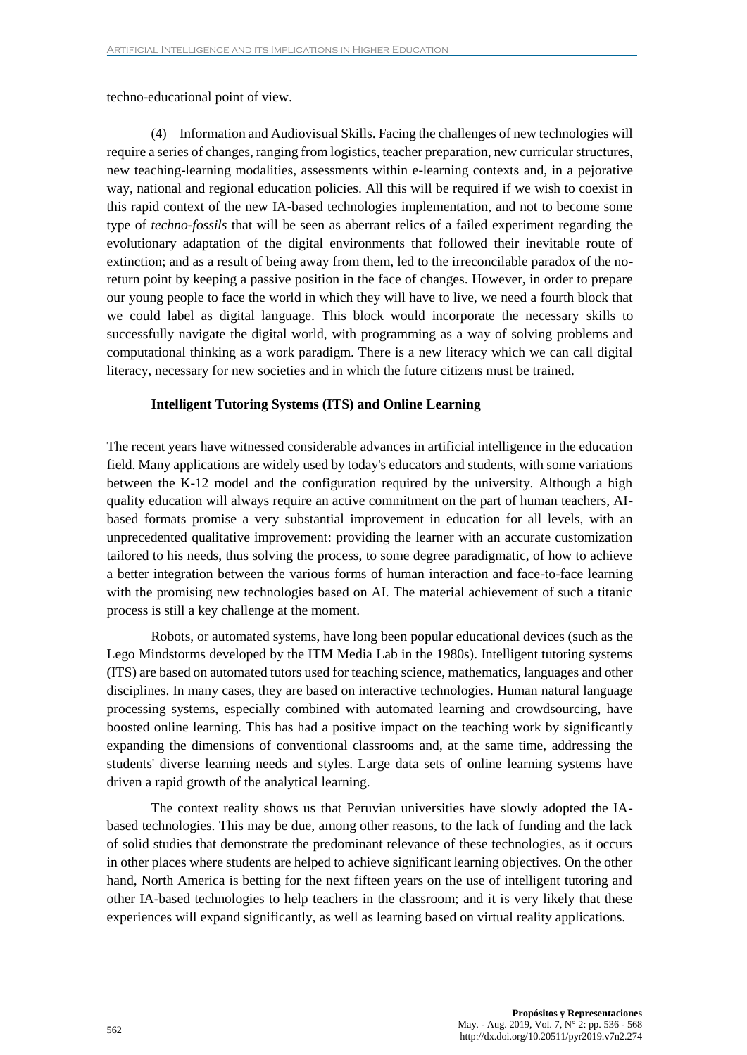techno-educational point of view.

(4) Information and Audiovisual Skills. Facing the challenges of new technologies will require a series of changes, ranging from logistics, teacher preparation, new curricular structures, new teaching-learning modalities, assessments within e-learning contexts and, in a pejorative way, national and regional education policies. All this will be required if we wish to coexist in this rapid context of the new IA-based technologies implementation, and not to become some type of *techno-fossils* that will be seen as aberrant relics of a failed experiment regarding the evolutionary adaptation of the digital environments that followed their inevitable route of extinction; and as a result of being away from them, led to the irreconcilable paradox of the noreturn point by keeping a passive position in the face of changes. However, in order to prepare our young people to face the world in which they will have to live, we need a fourth block that we could label as digital language. This block would incorporate the necessary skills to successfully navigate the digital world, with programming as a way of solving problems and computational thinking as a work paradigm. There is a new literacy which we can call digital literacy, necessary for new societies and in which the future citizens must be trained.

## **Intelligent Tutoring Systems (ITS) and Online Learning**

The recent years have witnessed considerable advances in artificial intelligence in the education field. Many applications are widely used by today's educators and students, with some variations between the K-12 model and the configuration required by the university. Although a high quality education will always require an active commitment on the part of human teachers, AIbased formats promise a very substantial improvement in education for all levels, with an unprecedented qualitative improvement: providing the learner with an accurate customization tailored to his needs, thus solving the process, to some degree paradigmatic, of how to achieve a better integration between the various forms of human interaction and face-to-face learning with the promising new technologies based on AI. The material achievement of such a titanic process is still a key challenge at the moment.

Robots, or automated systems, have long been popular educational devices (such as the Lego Mindstorms developed by the ITM Media Lab in the 1980s). Intelligent tutoring systems (ITS) are based on automated tutors used for teaching science, mathematics, languages and other disciplines. In many cases, they are based on interactive technologies. Human natural language processing systems, especially combined with automated learning and crowdsourcing, have boosted online learning. This has had a positive impact on the teaching work by significantly expanding the dimensions of conventional classrooms and, at the same time, addressing the students' diverse learning needs and styles. Large data sets of online learning systems have driven a rapid growth of the analytical learning.

The context reality shows us that Peruvian universities have slowly adopted the IAbased technologies. This may be due, among other reasons, to the lack of funding and the lack of solid studies that demonstrate the predominant relevance of these technologies, as it occurs in other places where students are helped to achieve significant learning objectives. On the other hand, North America is betting for the next fifteen years on the use of intelligent tutoring and other IA-based technologies to help teachers in the classroom; and it is very likely that these experiences will expand significantly, as well as learning based on virtual reality applications.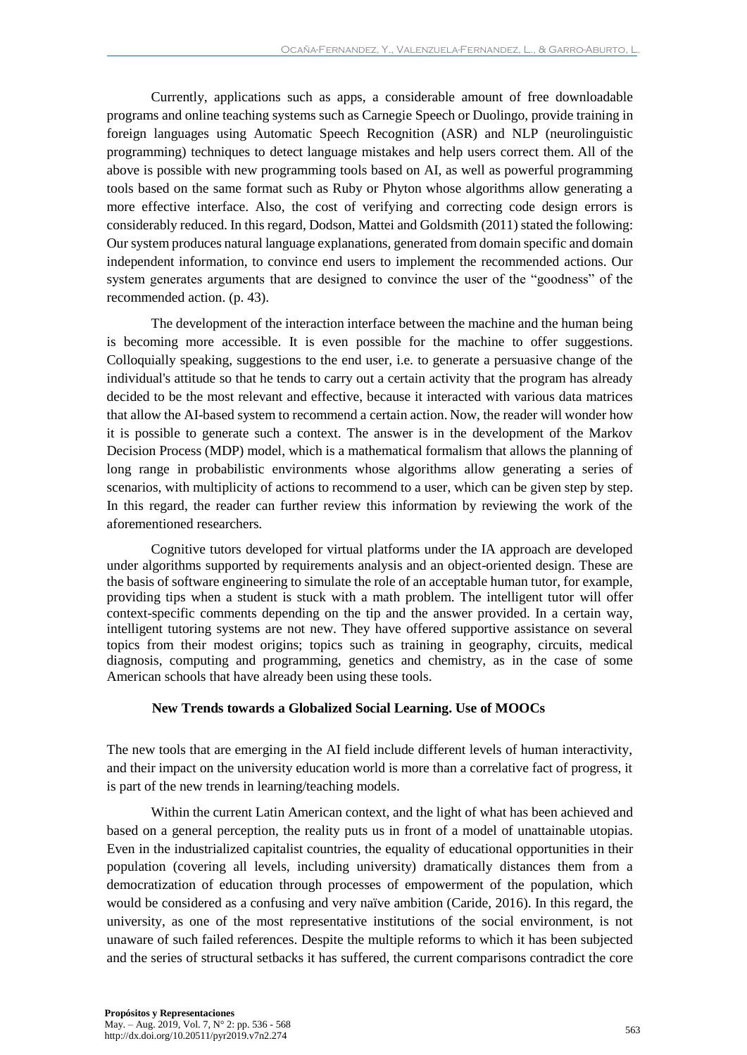Currently, applications such as apps, a considerable amount of free downloadable programs and online teaching systems such as Carnegie Speech or Duolingo, provide training in foreign languages using Automatic Speech Recognition (ASR) and NLP (neurolinguistic programming) techniques to detect language mistakes and help users correct them. All of the above is possible with new programming tools based on AI, as well as powerful programming tools based on the same format such as Ruby or Phyton whose algorithms allow generating a more effective interface. Also, the cost of verifying and correcting code design errors is considerably reduced. In this regard, Dodson, Mattei and Goldsmith (2011) stated the following: Our system produces natural language explanations, generated from domain specific and domain independent information, to convince end users to implement the recommended actions. Our system generates arguments that are designed to convince the user of the "goodness" of the recommended action. (p. 43).

The development of the interaction interface between the machine and the human being is becoming more accessible. It is even possible for the machine to offer suggestions. Colloquially speaking, suggestions to the end user, i.e. to generate a persuasive change of the individual's attitude so that he tends to carry out a certain activity that the program has already decided to be the most relevant and effective, because it interacted with various data matrices that allow the AI-based system to recommend a certain action. Now, the reader will wonder how it is possible to generate such a context. The answer is in the development of the Markov Decision Process (MDP) model, which is a mathematical formalism that allows the planning of long range in probabilistic environments whose algorithms allow generating a series of scenarios, with multiplicity of actions to recommend to a user, which can be given step by step. In this regard, the reader can further review this information by reviewing the work of the aforementioned researchers.

Cognitive tutors developed for virtual platforms under the IA approach are developed under algorithms supported by requirements analysis and an object-oriented design. These are the basis of software engineering to simulate the role of an acceptable human tutor, for example, providing tips when a student is stuck with a math problem. The intelligent tutor will offer context-specific comments depending on the tip and the answer provided. In a certain way, intelligent tutoring systems are not new. They have offered supportive assistance on several topics from their modest origins; topics such as training in geography, circuits, medical diagnosis, computing and programming, genetics and chemistry, as in the case of some American schools that have already been using these tools.

## **New Trends towards a Globalized Social Learning. Use of MOOCs**

The new tools that are emerging in the AI field include different levels of human interactivity, and their impact on the university education world is more than a correlative fact of progress, it is part of the new trends in learning/teaching models.

Within the current Latin American context, and the light of what has been achieved and based on a general perception, the reality puts us in front of a model of unattainable utopias. Even in the industrialized capitalist countries, the equality of educational opportunities in their population (covering all levels, including university) dramatically distances them from a democratization of education through processes of empowerment of the population, which would be considered as a confusing and very naïve ambition (Caride, 2016). In this regard, the university, as one of the most representative institutions of the social environment, is not unaware of such failed references. Despite the multiple reforms to which it has been subjected and the series of structural setbacks it has suffered, the current comparisons contradict the core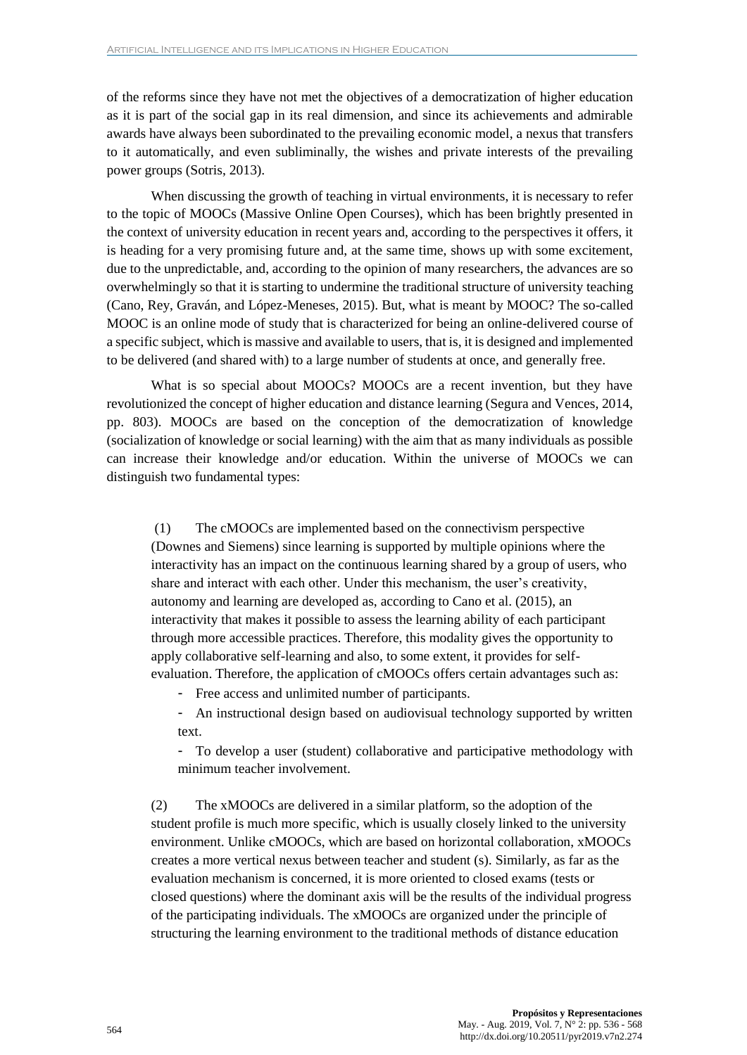of the reforms since they have not met the objectives of a democratization of higher education as it is part of the social gap in its real dimension, and since its achievements and admirable awards have always been subordinated to the prevailing economic model, a nexus that transfers to it automatically, and even subliminally, the wishes and private interests of the prevailing power groups (Sotris, 2013).

When discussing the growth of teaching in virtual environments, it is necessary to refer to the topic of MOOCs (Massive Online Open Courses), which has been brightly presented in the context of university education in recent years and, according to the perspectives it offers, it is heading for a very promising future and, at the same time, shows up with some excitement, due to the unpredictable, and, according to the opinion of many researchers, the advances are so overwhelmingly so that it is starting to undermine the traditional structure of university teaching (Cano, Rey, Graván, and López-Meneses, 2015). But, what is meant by MOOC? The so-called MOOC is an online mode of study that is characterized for being an online-delivered course of a specific subject, which is massive and available to users, that is, it is designed and implemented to be delivered (and shared with) to a large number of students at once, and generally free.

What is so special about MOOCs? MOOCs are a recent invention, but they have revolutionized the concept of higher education and distance learning (Segura and Vences, 2014, pp. 803). MOOCs are based on the conception of the democratization of knowledge (socialization of knowledge or social learning) with the aim that as many individuals as possible can increase their knowledge and/or education. Within the universe of MOOCs we can distinguish two fundamental types:

(1) The cMOOCs are implemented based on the connectivism perspective (Downes and Siemens) since learning is supported by multiple opinions where the interactivity has an impact on the continuous learning shared by a group of users, who share and interact with each other. Under this mechanism, the user's creativity, autonomy and learning are developed as, according to Cano et al. (2015), an interactivity that makes it possible to assess the learning ability of each participant through more accessible practices. Therefore, this modality gives the opportunity to apply collaborative self-learning and also, to some extent, it provides for selfevaluation. Therefore, the application of cMOOCs offers certain advantages such as:

- Free access and unlimited number of participants.
- An instructional design based on audiovisual technology supported by written text.

- To develop a user (student) collaborative and participative methodology with minimum teacher involvement.

(2) The xMOOCs are delivered in a similar platform, so the adoption of the student profile is much more specific, which is usually closely linked to the university environment. Unlike cMOOCs, which are based on horizontal collaboration, xMOOCs creates a more vertical nexus between teacher and student (s). Similarly, as far as the evaluation mechanism is concerned, it is more oriented to closed exams (tests or closed questions) where the dominant axis will be the results of the individual progress of the participating individuals. The xMOOCs are organized under the principle of structuring the learning environment to the traditional methods of distance education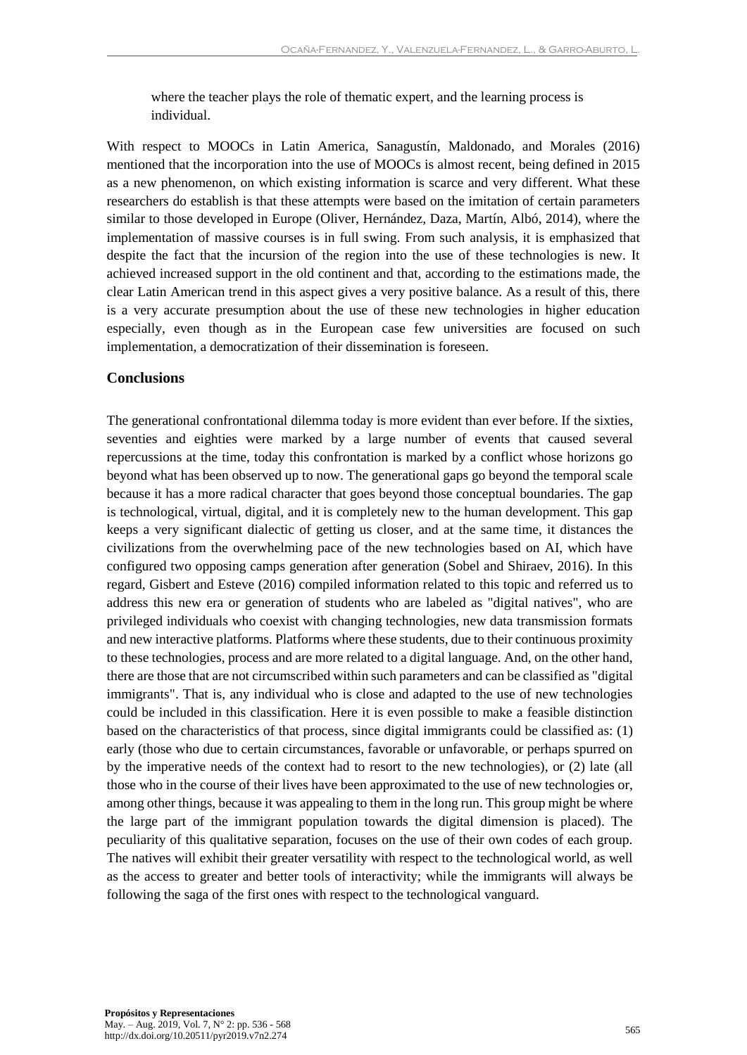where the teacher plays the role of thematic expert, and the learning process is individual.

With respect to MOOCs in Latin America, Sanagustín, Maldonado, and Morales (2016) mentioned that the incorporation into the use of MOOCs is almost recent, being defined in 2015 as a new phenomenon, on which existing information is scarce and very different. What these researchers do establish is that these attempts were based on the imitation of certain parameters similar to those developed in Europe (Oliver, Hernández, Daza, Martín, Albó, 2014), where the implementation of massive courses is in full swing. From such analysis, it is emphasized that despite the fact that the incursion of the region into the use of these technologies is new. It achieved increased support in the old continent and that, according to the estimations made, the clear Latin American trend in this aspect gives a very positive balance. As a result of this, there is a very accurate presumption about the use of these new technologies in higher education especially, even though as in the European case few universities are focused on such implementation, a democratization of their dissemination is foreseen.

# **Conclusions**

The generational confrontational dilemma today is more evident than ever before. If the sixties, seventies and eighties were marked by a large number of events that caused several repercussions at the time, today this confrontation is marked by a conflict whose horizons go beyond what has been observed up to now. The generational gaps go beyond the temporal scale because it has a more radical character that goes beyond those conceptual boundaries. The gap is technological, virtual, digital, and it is completely new to the human development. This gap keeps a very significant dialectic of getting us closer, and at the same time, it distances the civilizations from the overwhelming pace of the new technologies based on AI, which have configured two opposing camps generation after generation (Sobel and Shiraev, 2016). In this regard, Gisbert and Esteve (2016) compiled information related to this topic and referred us to address this new era or generation of students who are labeled as "digital natives", who are privileged individuals who coexist with changing technologies, new data transmission formats and new interactive platforms. Platforms where these students, due to their continuous proximity to these technologies, process and are more related to a digital language. And, on the other hand, there are those that are not circumscribed within such parameters and can be classified as "digital immigrants". That is, any individual who is close and adapted to the use of new technologies could be included in this classification. Here it is even possible to make a feasible distinction based on the characteristics of that process, since digital immigrants could be classified as: (1) early (those who due to certain circumstances, favorable or unfavorable, or perhaps spurred on by the imperative needs of the context had to resort to the new technologies), or (2) late (all those who in the course of their lives have been approximated to the use of new technologies or, among other things, because it was appealing to them in the long run. This group might be where the large part of the immigrant population towards the digital dimension is placed). The peculiarity of this qualitative separation, focuses on the use of their own codes of each group. The natives will exhibit their greater versatility with respect to the technological world, as well as the access to greater and better tools of interactivity; while the immigrants will always be following the saga of the first ones with respect to the technological vanguard.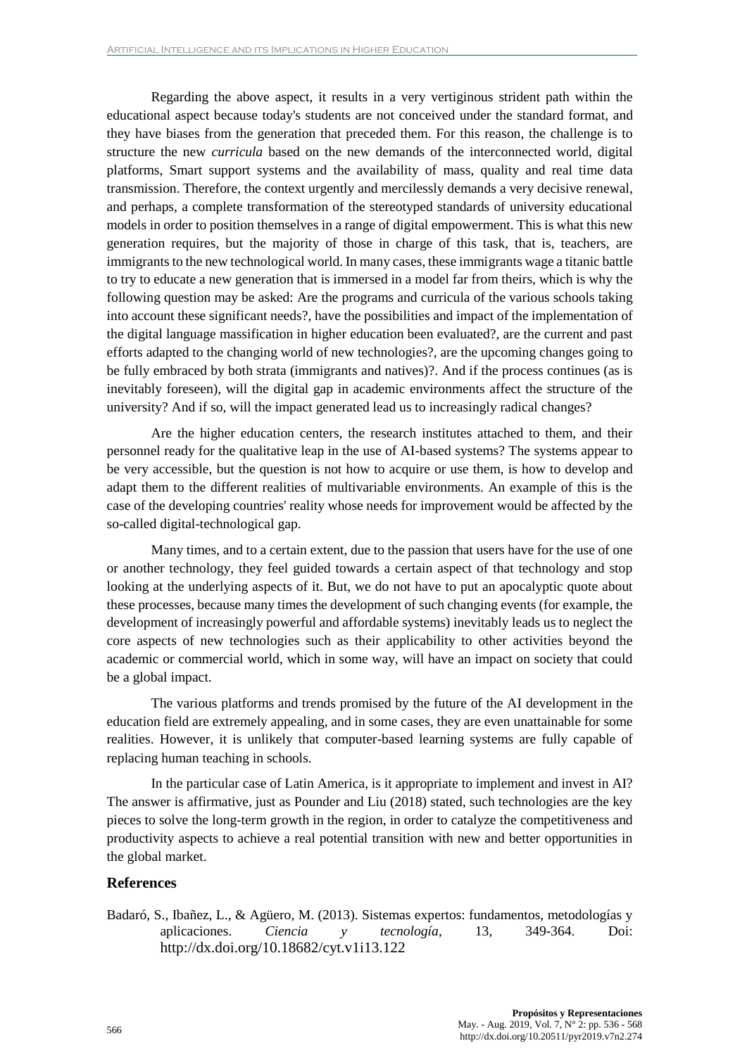Regarding the above aspect, it results in a very vertiginous strident path within the educational aspect because today's students are not conceived under the standard format, and they have biases from the generation that preceded them. For this reason, the challenge is to structure the new *curricula* based on the new demands of the interconnected world, digital platforms, Smart support systems and the availability of mass, quality and real time data transmission. Therefore, the context urgently and mercilessly demands a very decisive renewal, and perhaps, a complete transformation of the stereotyped standards of university educational models in order to position themselves in a range of digital empowerment. This is what this new generation requires, but the majority of those in charge of this task, that is, teachers, are immigrants to the new technological world. In many cases, these immigrants wage a titanic battle to try to educate a new generation that is immersed in a model far from theirs, which is why the following question may be asked: Are the programs and curricula of the various schools taking into account these significant needs?, have the possibilities and impact of the implementation of the digital language massification in higher education been evaluated?, are the current and past efforts adapted to the changing world of new technologies?, are the upcoming changes going to be fully embraced by both strata (immigrants and natives)?. And if the process continues (as is inevitably foreseen), will the digital gap in academic environments affect the structure of the university? And if so, will the impact generated lead us to increasingly radical changes?

Are the higher education centers, the research institutes attached to them, and their personnel ready for the qualitative leap in the use of AI-based systems? The systems appear to be very accessible, but the question is not how to acquire or use them, is how to develop and adapt them to the different realities of multivariable environments. An example of this is the case of the developing countries' reality whose needs for improvement would be affected by the so-called digital-technological gap.

Many times, and to a certain extent, due to the passion that users have for the use of one or another technology, they feel guided towards a certain aspect of that technology and stop looking at the underlying aspects of it. But, we do not have to put an apocalyptic quote about these processes, because many times the development of such changing events (for example, the development of increasingly powerful and affordable systems) inevitably leads us to neglect the core aspects of new technologies such as their applicability to other activities beyond the academic or commercial world, which in some way, will have an impact on society that could be a global impact.

The various platforms and trends promised by the future of the AI development in the education field are extremely appealing, and in some cases, they are even unattainable for some realities. However, it is unlikely that computer-based learning systems are fully capable of replacing human teaching in schools.

In the particular case of Latin America, is it appropriate to implement and invest in AI? The answer is affirmative, just as Pounder and Liu (2018) stated, such technologies are the key pieces to solve the long-term growth in the region, in order to catalyze the competitiveness and productivity aspects to achieve a real potential transition with new and better opportunities in the global market.

## **References**

Badaró, S., Ibañez, L., & Agüero, M. (2013). Sistemas expertos: fundamentos, metodologías y aplicaciones. *Ciencia y tecnología*, 13, 349-364. Doi: <http://dx.doi.org/10.18682/cyt.v1i13.122>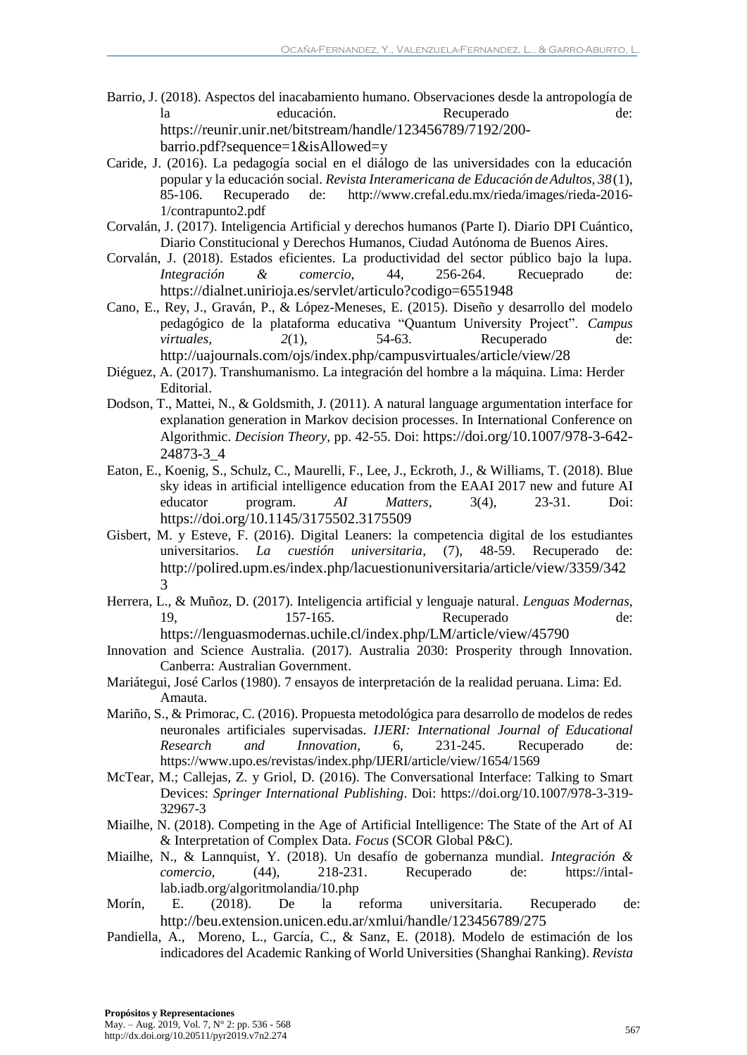- Barrio, J. (2018). Aspectos del inacabamiento humano. Observaciones desde la antropología de la educación. Recuperado de: [https://reunir.unir.net/bitstream/handle/123456789/7192/200](https://reunir.unir.net/bitstream/handle/123456789/7192/200-barrio.pdf?sequence=1&isAllowed=y) [barrio.pdf?sequence=1&isAllowed=y](https://reunir.unir.net/bitstream/handle/123456789/7192/200-barrio.pdf?sequence=1&isAllowed=y)
- Caride, J. (2016). La pedagogía social en el diálogo de las universidades con la educación popular y la educación social. *Revista Interamericana de Educación deAdultos, 38*(1), 85-106. Recuperado de: [http://www.crefal.edu.mx/rieda/images/rieda-2016-](http://www.crefal.edu.mx/rieda/images/rieda-2016-1/contrapunto2.pdf) [1/contrapunto2.pdf](http://www.crefal.edu.mx/rieda/images/rieda-2016-1/contrapunto2.pdf)
- Corvalán, J. (2017). Inteligencia Artificial y derechos humanos (Parte I). Diario DPI Cuántico, Diario Constitucional y Derechos Humanos, Ciudad Autónoma de Buenos Aires.
- Corvalán, J. (2018). Estados eficientes. La productividad del sector público bajo la lupa. *Integración & comercio*, 44, 256-264. Recueprado de: <https://dialnet.unirioja.es/servlet/articulo?codigo=6551948>
- Cano, E., Rey, J., Graván, P., & López-Meneses, E. (2015). Diseño y desarrollo del modelo pedagógico de la plataforma educativa "Quantum University Project". *Campus virtuales*,  $2(1)$ , 54-63. Recuperado de: <http://uajournals.com/ojs/index.php/campusvirtuales/article/view/28>
- Diéguez, A. (2017). Transhumanismo. La integración del hombre a la máquina. Lima: Herder Editorial.
- Dodson, T., Mattei, N., & Goldsmith, J. (2011). A natural language argumentation interface for explanation generation in Markov decision processes. In International Conference on Algorithmic. *Decision Theory,* pp. 42-55. Doi: [https://doi.org/10.1007/978-3-642-](https://doi.org/10.1007/978-3-642-24873-3_4) [24873-3\\_4](https://doi.org/10.1007/978-3-642-24873-3_4)
- Eaton, E., Koenig, S., Schulz, C., Maurelli, F., Lee, J., Eckroth, J., & Williams, T. (2018). Blue sky ideas in artificial intelligence education from the EAAI 2017 new and future AI educator program. *AI Matters*, 3(4), 23-31. Doi: <https://doi.org/10.1145/3175502.3175509>
- Gisbert, M. y Esteve, F. (2016). Digital Leaners: la competencia digital de los estudiantes universitarios. *La cuestión universitaria*, (7), 48-59. Recuperado de: [http://polired.upm.es/index.php/lacuestionuniversitaria/article/view/3359/342](http://polired.upm.es/index.php/lacuestionuniversitaria/article/view/3359/3423) [3](http://polired.upm.es/index.php/lacuestionuniversitaria/article/view/3359/3423)
- Herrera, L., & Muñoz, D. (2017). Inteligencia artificial y lenguaje natural. *Lenguas Modernas,*  19, 157-165. Recuperado de:
	- <https://lenguasmodernas.uchile.cl/index.php/LM/article/view/45790>
- Innovation and Science Australia. (2017). Australia 2030: Prosperity through Innovation. Canberra: Australian Government.
- Mariátegui, José Carlos (1980). 7 ensayos de interpretación de la realidad peruana. Lima: Ed. Amauta.
- Mariño, S., & Primorac, C. (2016). Propuesta metodológica para desarrollo de modelos de redes neuronales artificiales supervisadas. *IJERI: International Journal of Educational Research and Innovation*, 6, 231-245. Recuperado de: <https://www.upo.es/revistas/index.php/IJERI/article/view/1654/1569>
- McTear, M.; Callejas, Z. y Griol, D. (2016). The Conversational Interface: Talking to Smart Devices: *Springer International Publishing*. Doi: [https://doi.org/10.1007/978-3-319-](https://doi.org/10.1007/978-3-319-32967-3) [32967-3](https://doi.org/10.1007/978-3-319-32967-3)
- Miailhe, N. (2018). Competing in the Age of Artificial Intelligence: The State of the Art of AI & Interpretation of Complex Data. *Focus* (SCOR Global P&C).
- Miailhe, N., & Lannquist, Y. (2018). Un desafío de gobernanza mundial. *Integración & comercio*, (44), 218-231. Recuperado de: [https://intal](https://intal-lab.iadb.org/algoritmolandia/10.php)[lab.iadb.org/algoritmolandia/10.php](https://intal-lab.iadb.org/algoritmolandia/10.php)
- Morín, E. (2018). De la reforma universitaria. Recuperado de: <http://beu.extension.unicen.edu.ar/xmlui/handle/123456789/275>
- Pandiella, A., Moreno, L., García, C., & Sanz, E. (2018). Modelo de estimación de los indicadores del Academic Ranking of World Universities (Shanghai Ranking). *Revista*